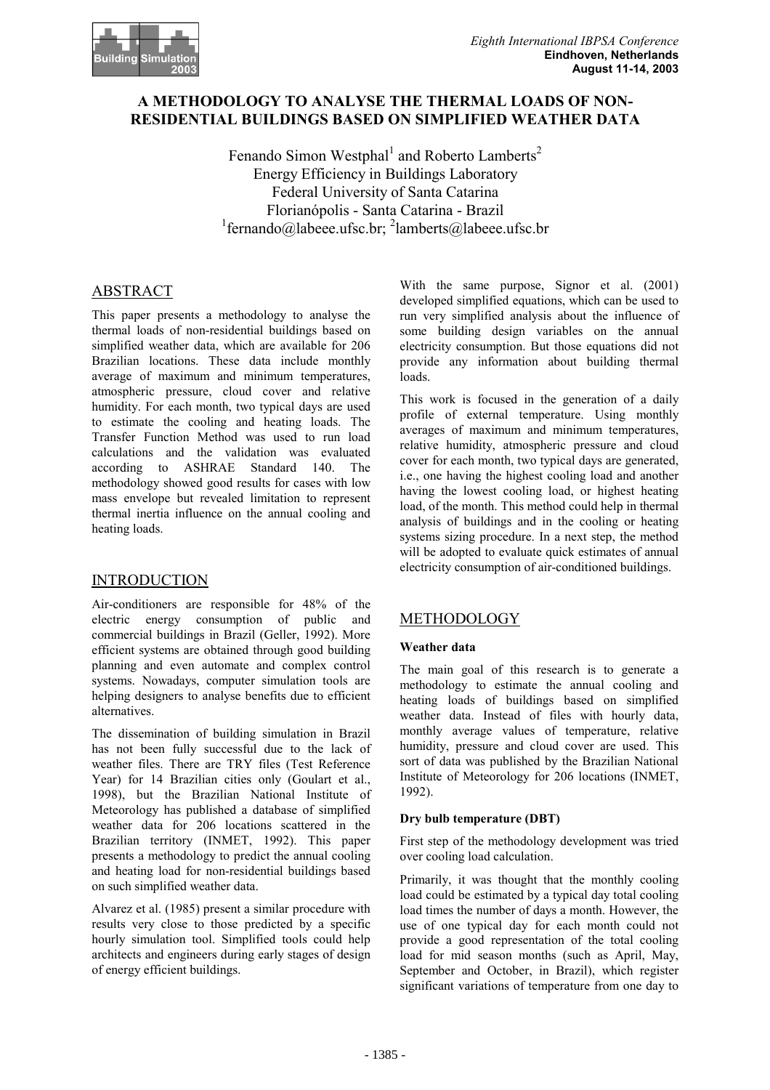

## **A METHODOLOGY TO ANALYSE THE THERMAL LOADS OF NON-RESIDENTIAL BUILDINGS BASED ON SIMPLIFIED WEATHER DATA**

Fenando Simon Westphal<sup>1</sup> and Roberto Lamberts<sup>2</sup> Energy Efficiency in Buildings Laboratory Federal University of Santa Catarina Florianópolis - Santa Catarina - Brazil  $\frac{1}{2}$ fernando@labeee.ufsc.br;  $\frac{2}{2}$ lamberts@labeee.ufsc.br

# ABSTRACT

This paper presents a methodology to analyse the thermal loads of non-residential buildings based on simplified weather data, which are available for 206 Brazilian locations. These data include monthly average of maximum and minimum temperatures, atmospheric pressure, cloud cover and relative humidity. For each month, two typical days are used to estimate the cooling and heating loads. The Transfer Function Method was used to run load calculations and the validation was evaluated according to ASHRAE Standard 140. The methodology showed good results for cases with low mass envelope but revealed limitation to represent thermal inertia influence on the annual cooling and heating loads.

### INTRODUCTION

Air-conditioners are responsible for 48% of the electric energy consumption of public and commercial buildings in Brazil (Geller, 1992). More efficient systems are obtained through good building planning and even automate and complex control systems. Nowadays, computer simulation tools are helping designers to analyse benefits due to efficient alternatives.

The dissemination of building simulation in Brazil has not been fully successful due to the lack of weather files. There are TRY files (Test Reference Year) for 14 Brazilian cities only (Goulart et al., 1998), but the Brazilian National Institute of Meteorology has published a database of simplified weather data for 206 locations scattered in the Brazilian territory (INMET, 1992). This paper presents a methodology to predict the annual cooling and heating load for non-residential buildings based on such simplified weather data.

Alvarez et al. (1985) present a similar procedure with results very close to those predicted by a specific hourly simulation tool. Simplified tools could help architects and engineers during early stages of design of energy efficient buildings.

With the same purpose, Signor et al. (2001) developed simplified equations, which can be used to run very simplified analysis about the influence of some building design variables on the annual electricity consumption. But those equations did not provide any information about building thermal loads.

This work is focused in the generation of a daily profile of external temperature. Using monthly averages of maximum and minimum temperatures, relative humidity, atmospheric pressure and cloud cover for each month, two typical days are generated, i.e., one having the highest cooling load and another having the lowest cooling load, or highest heating load, of the month. This method could help in thermal analysis of buildings and in the cooling or heating systems sizing procedure. In a next step, the method will be adopted to evaluate quick estimates of annual electricity consumption of air-conditioned buildings.

# METHODOLOGY

### **Weather data**

The main goal of this research is to generate a methodology to estimate the annual cooling and heating loads of buildings based on simplified weather data. Instead of files with hourly data, monthly average values of temperature, relative humidity, pressure and cloud cover are used. This sort of data was published by the Brazilian National Institute of Meteorology for 206 locations (INMET, 1992).

### **Dry bulb temperature (DBT)**

First step of the methodology development was tried over cooling load calculation.

Primarily, it was thought that the monthly cooling load could be estimated by a typical day total cooling load times the number of days a month. However, the use of one typical day for each month could not provide a good representation of the total cooling load for mid season months (such as April, May, September and October, in Brazil), which register significant variations of temperature from one day to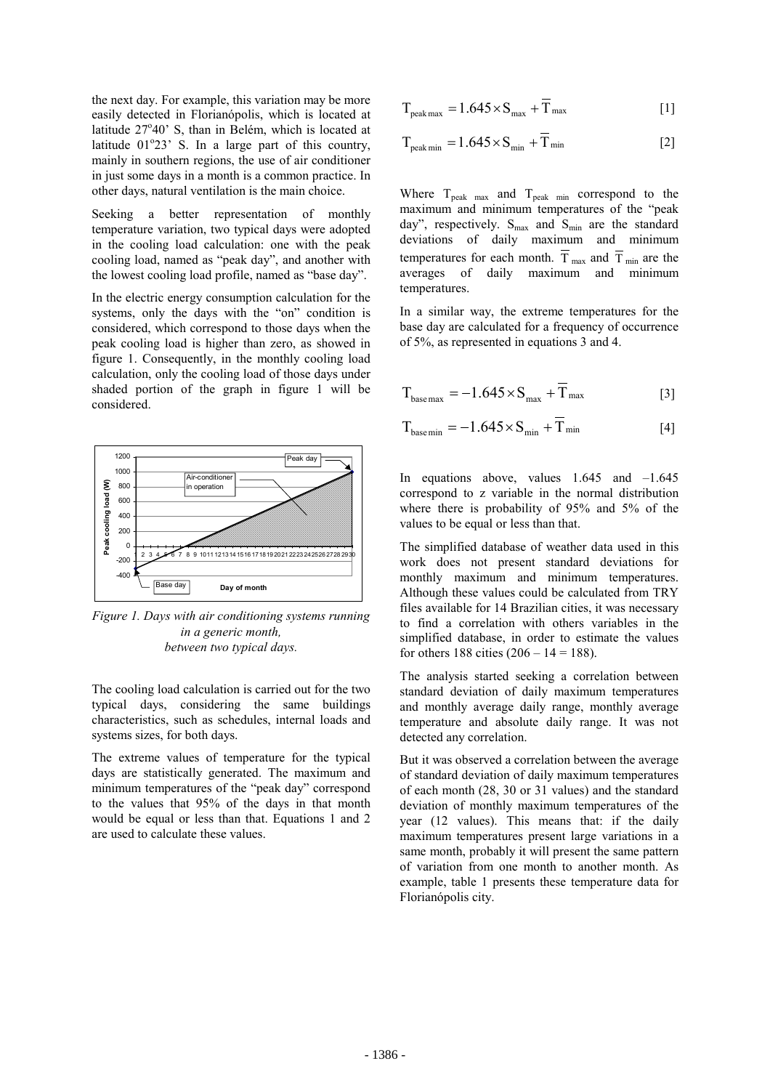the next day. For example, this variation may be more easily detected in Florianópolis, which is located at latitude 27°40' S, than in Belém, which is located at latitude  $01^{\circ}23'$  S. In a large part of this country, mainly in southern regions, the use of air conditioner in just some days in a month is a common practice. In other days, natural ventilation is the main choice.

Seeking a better representation of monthly temperature variation, two typical days were adopted in the cooling load calculation: one with the peak cooling load, named as "peak day", and another with the lowest cooling load profile, named as "base day".

In the electric energy consumption calculation for the systems, only the days with the "on" condition is considered, which correspond to those days when the peak cooling load is higher than zero, as showed in figure 1. Consequently, in the monthly cooling load calculation, only the cooling load of those days under shaded portion of the graph in figure 1 will be considered.



*Figure 1. Days with air conditioning systems running in a generic month, between two typical days.* 

The cooling load calculation is carried out for the two typical days, considering the same buildings characteristics, such as schedules, internal loads and systems sizes, for both days.

The extreme values of temperature for the typical days are statistically generated. The maximum and minimum temperatures of the "peak day" correspond to the values that 95% of the days in that month would be equal or less than that. Equations 1 and 2 are used to calculate these values.

$$
T_{\text{peak max}} = 1.645 \times S_{\text{max}} + \overline{T}_{\text{max}}
$$
 [1]

$$
T_{\text{peak min}} = 1.645 \times S_{\text{min}} + \overline{T}_{\text{min}}
$$
 [2]

Where  $T_{peak}$  max and  $T_{peak}$  min correspond to the maximum and minimum temperatures of the "peak day", respectively.  $S_{max}$  and  $S_{min}$  are the standard deviations of daily maximum and minimum temperatures for each month.  $\overline{T}_{\text{max}}$  and  $\overline{T}_{\text{min}}$  are the averages of daily maximum and minimum temperatures.

In a similar way, the extreme temperatures for the base day are calculated for a frequency of occurrence of 5%, as represented in equations 3 and 4.

$$
T_{base\max} = -1.645 \times S_{max} + \overline{T}_{max}
$$
 [3]

$$
T_{\text{base min}} = -1.645 \times S_{\text{min}} + \overline{T}_{\text{min}}
$$
 [4]

In equations above, values  $1.645$  and  $-1.645$ correspond to z variable in the normal distribution where there is probability of 95% and 5% of the values to be equal or less than that.

The simplified database of weather data used in this work does not present standard deviations for monthly maximum and minimum temperatures. Although these values could be calculated from TRY files available for 14 Brazilian cities, it was necessary to find a correlation with others variables in the simplified database, in order to estimate the values for others 188 cities  $(206 – 14 = 188)$ .

The analysis started seeking a correlation between standard deviation of daily maximum temperatures and monthly average daily range, monthly average temperature and absolute daily range. It was not detected any correlation.

But it was observed a correlation between the average of standard deviation of daily maximum temperatures of each month (28, 30 or 31 values) and the standard deviation of monthly maximum temperatures of the year (12 values). This means that: if the daily maximum temperatures present large variations in a same month, probably it will present the same pattern of variation from one month to another month. As example, table 1 presents these temperature data for Florianópolis city.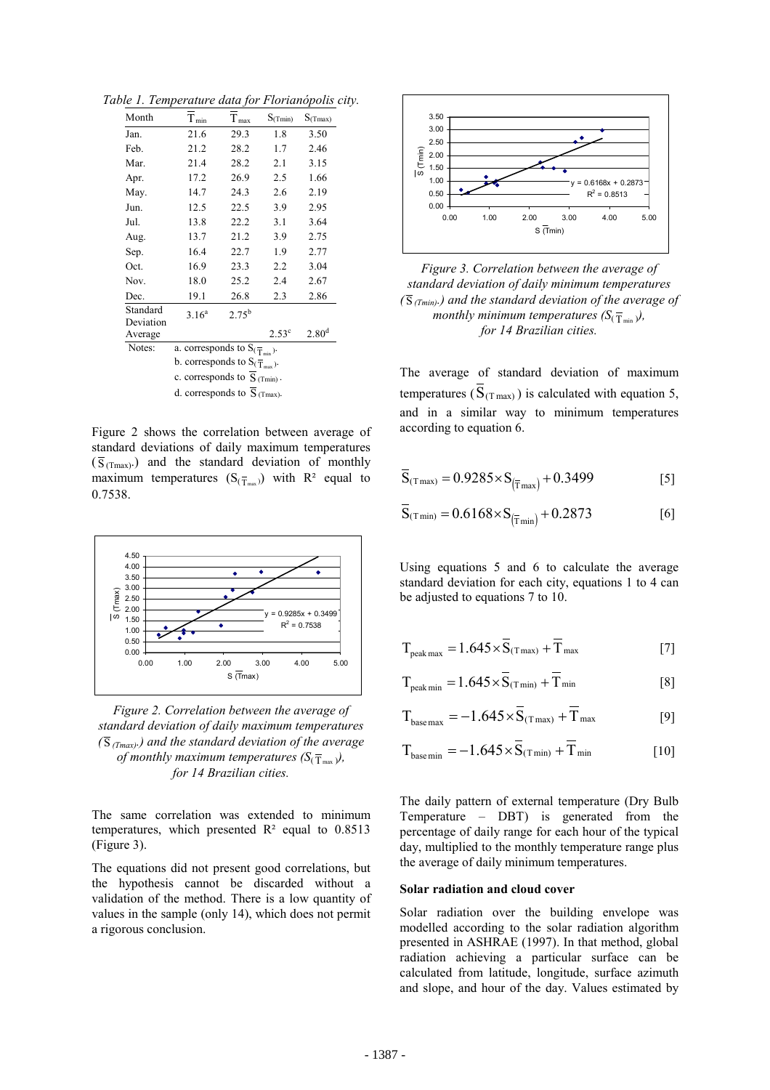*Table 1. Temperature data for Florianópolis city.* 

| Month                | $T_{\rm min}$                                  | T <sub>max</sub> | $S_{(Tmin)}$   | $S_{(Tmax)}$      |  |  |
|----------------------|------------------------------------------------|------------------|----------------|-------------------|--|--|
| Jan.                 | 21.6                                           | 29.3             | 1.8            | 3.50              |  |  |
| Feb.                 | 21.2                                           | 28.2             | 1.7            | 2.46              |  |  |
| Mar.                 | 21.4                                           | 28.2             | 2.1            | 3.15              |  |  |
| Apr.                 | 17.2                                           | 26.9             | 2.5            | 1.66              |  |  |
| May.                 | 14.7                                           | 24.3             | 2.6            | 2.19              |  |  |
| Jun.                 | 12.5                                           | 22.5             | 3.9            | 2.95              |  |  |
| Jul.                 | 13.8                                           | 22.2             | 3.1            | 3.64              |  |  |
| Aug.                 | 13.7                                           | 21.2             | 3.9            | 2.75              |  |  |
| Sep.                 | 16.4                                           | 22.7             | 1.9            | 2.77              |  |  |
| Oct.                 | 16.9                                           | 23.3             | 2.2            | 3.04              |  |  |
| Nov.                 | 18.0                                           | 25.2             | 2.4            | 2.67              |  |  |
| Dec.                 | 19.1                                           | 26.8             | 2.3            | 2.86              |  |  |
| Standard             | 3.16 <sup>a</sup>                              | $2.75^{b}$       |                |                   |  |  |
| Deviation<br>Average |                                                |                  | $2.53^{\circ}$ | 2.80 <sup>d</sup> |  |  |
| Notes:               | a. corresponds to $S_{(\overline{T}_{min})}$ . |                  |                |                   |  |  |
|                      | b. corresponds to $S(\overline{T}_{max})$ .    |                  |                |                   |  |  |
|                      | c. corresponds to $S_{(Tmin)}$ .               |                  |                |                   |  |  |
|                      | d. corresponds to $S_{(Tmax)}$ .               |                  |                |                   |  |  |

Figure 2 shows the correlation between average of standard deviations of daily maximum temperatures  $(\overline{S}_{(Tmax)})$  and the standard deviation of monthly maximum temperatures  $(S_{(T_{max})})$  with  $R^2$  equal to 0.7538.



*Figure 2. Correlation between the average of standard deviation of daily maximum temperatures (* S *(Tmax).) and the standard deviation of the average of monthly maximum temperatures*  $(S(\overline{T}_{max}))$ *, for 14 Brazilian cities.* 

The same correlation was extended to minimum temperatures, which presented  $R<sup>2</sup>$  equal to 0.8513 (Figure 3).

The equations did not present good correlations, but the hypothesis cannot be discarded without a validation of the method. There is a low quantity of values in the sample (only 14), which does not permit a rigorous conclusion.



*Figure 3. Correlation between the average of standard deviation of daily minimum temperatures*   $(\overline{S}_{(Tmin)})$  and the standard deviation of the average of *monthly minimum temperatures*  $(S_{(T_{min})})$ *, for 14 Brazilian cities.* 

The average of standard deviation of maximum temperatures ( $\overline{S}_{(T \max)}$ ) is calculated with equation 5, and in a similar way to minimum temperatures according to equation 6.

$$
\overline{S}_{(T\max)} = 0.9285 \times S_{(\overline{T}\max)} + 0.3499
$$
 [5]

$$
\overline{S}_{(T\min)} = 0.6168 \times S_{(\overline{T}\min)} + 0.2873
$$
 [6]

Using equations 5 and 6 to calculate the average standard deviation for each city, equations 1 to 4 can be adjusted to equations 7 to 10.

$$
T_{peak\,max} = 1.645 \times \overline{S}_{(T\,max)} + \overline{T}_{max}
$$
 [7]

$$
T_{\text{peak}\min} = 1.645 \times \overline{S}_{(T\min)} + \overline{T}_{\text{min}} \qquad \qquad [8]
$$

$$
T_{\text{base max}} = -1.645 \times \overline{S}_{(T \text{max})} + \overline{T}_{\text{max}}
$$
 [9]

$$
T_{\text{basemin}} = -1.645 \times \overline{S}_{(T\min)} + \overline{T}_{\min}
$$
 [10]

The daily pattern of external temperature (Dry Bulb Temperature – DBT) is generated from the percentage of daily range for each hour of the typical day, multiplied to the monthly temperature range plus the average of daily minimum temperatures.

#### **Solar radiation and cloud cover**

Solar radiation over the building envelope was modelled according to the solar radiation algorithm presented in ASHRAE (1997). In that method, global radiation achieving a particular surface can be calculated from latitude, longitude, surface azimuth and slope, and hour of the day. Values estimated by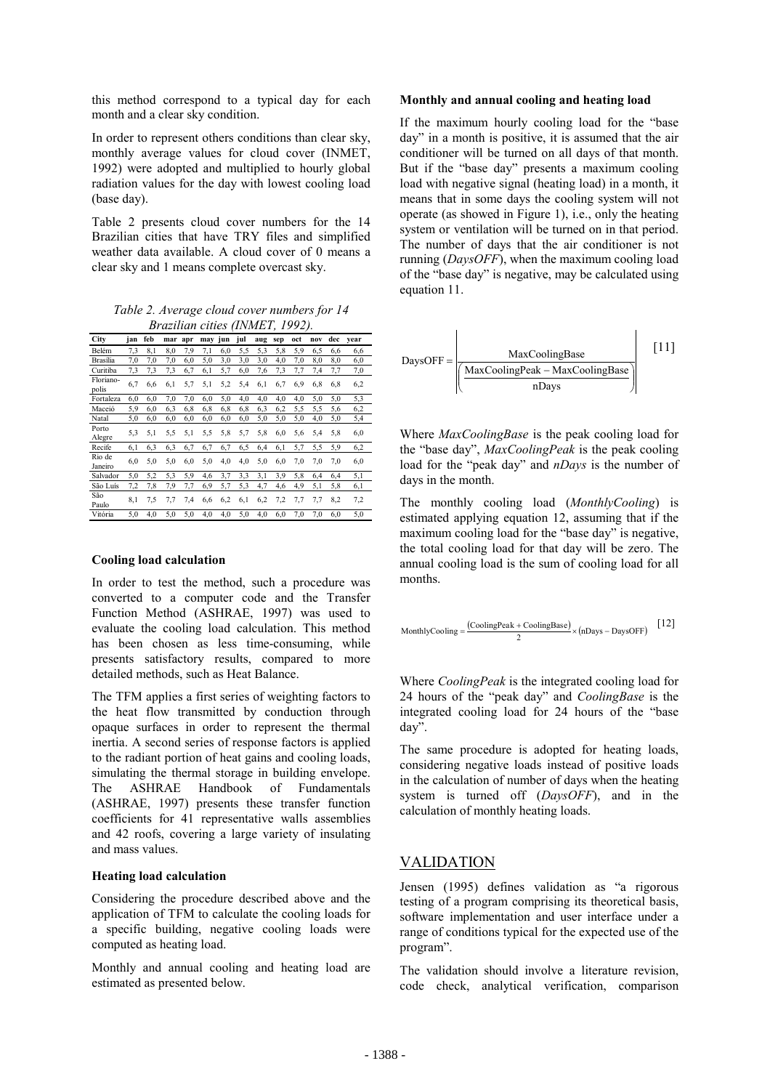this method correspond to a typical day for each month and a clear sky condition.

In order to represent others conditions than clear sky, monthly average values for cloud cover (INMET, 1992) were adopted and multiplied to hourly global radiation values for the day with lowest cooling load (base day).

Table 2 presents cloud cover numbers for the 14 Brazilian cities that have TRY files and simplified weather data available. A cloud cover of 0 means a clear sky and 1 means complete overcast sky.

*Table 2. Average cloud cover numbers for 14 Brazilian cities (INMET, 1992).* 

| City               | jan | feb | mar | apr | mav | jun | jul | aug | sep | oct | nov | dec | vear |
|--------------------|-----|-----|-----|-----|-----|-----|-----|-----|-----|-----|-----|-----|------|
| Belém              | 7,3 | 8,1 | 8,0 | 7,9 | 7.1 | 6,0 | 5,5 | 5,3 | 5,8 | 5,9 | 6,5 | 6,6 | 6,6  |
| Brasília           | 7,0 | 7,0 | 7,0 | 6,0 | 5,0 | 3,0 | 3,0 | 3,0 | 4,0 | 7,0 | 8,0 | 8,0 | 6,0  |
| Curitiba           | 7,3 | 7,3 | 7,3 | 6,7 | 6,1 | 5,7 | 6,0 | 7,6 | 7,3 | 7.7 | 7,4 | 7,7 | 7,0  |
| Floriano-<br>polis | 6,7 | 6,6 | 6,1 | 5,7 | 5,1 | 5,2 | 5,4 | 6,1 | 6,7 | 6,9 | 6,8 | 6,8 | 6,2  |
| Fortaleza          | 6,0 | 6,0 | 7,0 | 7,0 | 6,0 | 5,0 | 4,0 | 4,0 | 4,0 | 4,0 | 5,0 | 5,0 | 5,3  |
| Maceió             | 5,9 | 6,0 | 6,3 | 6,8 | 6,8 | 6,8 | 6,8 | 6,3 | 6,2 | 5,5 | 5,5 | 5,6 | 6,2  |
| Natal              | 5,0 | 6,0 | 6,0 | 6,0 | 6,0 | 6,0 | 6,0 | 5,0 | 5,0 | 5,0 | 4,0 | 5,0 | 5,4  |
| Porto<br>Alegre    | 5,3 | 5,1 | 5,5 | 5,1 | 5.5 | 5,8 | 5,7 | 5,8 | 6,0 | 5,6 | 5,4 | 5,8 | 6,0  |
| Recife             | 6,1 | 6,3 | 6,3 | 6,7 | 6,7 | 6,7 | 6,5 | 6,4 | 6,1 | 5,7 | 5,5 | 5.9 | 6,2  |
| Rio de<br>Janeiro  | 6,0 | 5,0 | 5,0 | 6,0 | 5,0 | 4,0 | 4,0 | 5,0 | 6,0 | 7,0 | 7,0 | 7,0 | 6,0  |
| Salvador           | 5,0 | 5,2 | 5,3 | 5,9 | 4,6 | 3,7 | 3,3 | 3,1 | 3,9 | 5,8 | 6,4 | 6,4 | 5,1  |
| São Luís           | 7,2 | 7,8 | 7,9 | 7,7 | 6,9 | 5,7 | 5,3 | 4,7 | 4,6 | 4,9 | 5,1 | 5,8 | 6,1  |
| São<br>Paulo       | 8,1 | 7.5 | 7,7 | 7.4 | 6,6 | 6,2 | 6,1 | 6,2 | 7,2 | 7,7 | 7,7 | 8,2 | 7,2  |
| Vitória            | 5,0 | 4,0 | 5,0 | 5,0 | 4,0 | 4,0 | 5,0 | 4,0 | 6,0 | 7,0 | 7,0 | 6,0 | 5,0  |

#### **Cooling load calculation**

In order to test the method, such a procedure was converted to a computer code and the Transfer Function Method (ASHRAE, 1997) was used to evaluate the cooling load calculation. This method has been chosen as less time-consuming, while presents satisfactory results, compared to more detailed methods, such as Heat Balance.

The TFM applies a first series of weighting factors to the heat flow transmitted by conduction through opaque surfaces in order to represent the thermal inertia. A second series of response factors is applied to the radiant portion of heat gains and cooling loads, simulating the thermal storage in building envelope. The ASHRAE Handbook of Fundamentals (ASHRAE, 1997) presents these transfer function coefficients for 41 representative walls assemblies and 42 roofs, covering a large variety of insulating and mass values.

#### **Heating load calculation**

Considering the procedure described above and the application of TFM to calculate the cooling loads for a specific building, negative cooling loads were computed as heating load.

Monthly and annual cooling and heating load are estimated as presented below.

#### **Monthly and annual cooling and heating load**

If the maximum hourly cooling load for the "base day" in a month is positive, it is assumed that the air conditioner will be turned on all days of that month. But if the "base day" presents a maximum cooling load with negative signal (heating load) in a month, it means that in some days the cooling system will not operate (as showed in Figure 1), i.e., only the heating system or ventilation will be turned on in that period. The number of days that the air conditioner is not running (*DaysOFF*), when the maximum cooling load of the "base day" is negative, may be calculated using equation 11.

$$
DaysOFF = \frac{MaxCoolingBase}{\frac{MaxCoolingPeak - MaxCoolingBase}{nDays}}
$$
 [11]

Where *MaxCoolingBase* is the peak cooling load for the "base day", *MaxCoolingPeak* is the peak cooling load for the "peak day" and *nDays* is the number of days in the month.

The monthly cooling load (*MonthlyCooling*) is estimated applying equation 12, assuming that if the maximum cooling load for the "base day" is negative, the total cooling load for that day will be zero. The annual cooling load is the sum of cooling load for all months.

Monthly
$$
Monthly\text{Cooling} = \frac{(\text{CoolingPeak} + \text{CoolingBase})}{2} \times (n\text{Days} - \text{DaysOFF}) \quad [12]
$$

Where *CoolingPeak* is the integrated cooling load for 24 hours of the "peak day" and *CoolingBase* is the integrated cooling load for 24 hours of the "base day".

The same procedure is adopted for heating loads, considering negative loads instead of positive loads in the calculation of number of days when the heating system is turned off (*DaysOFF*), and in the calculation of monthly heating loads.

### VALIDATION

Jensen (1995) defines validation as "a rigorous testing of a program comprising its theoretical basis, software implementation and user interface under a range of conditions typical for the expected use of the program".

The validation should involve a literature revision, code check, analytical verification, comparison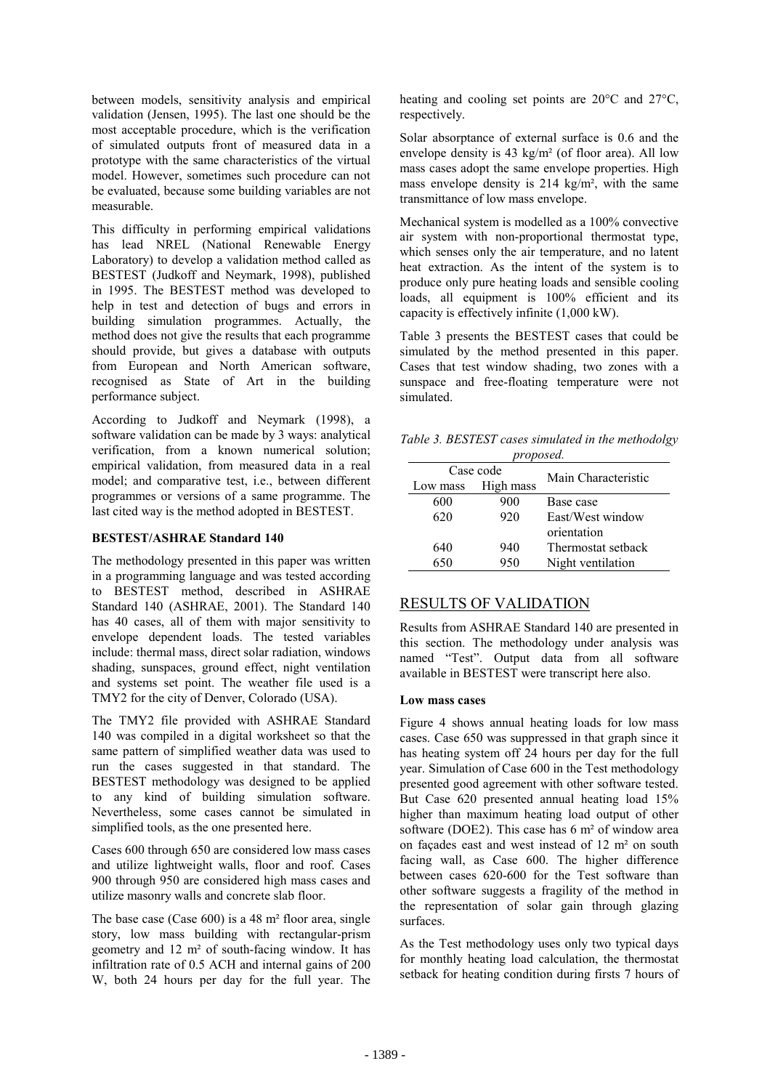between models, sensitivity analysis and empirical validation (Jensen, 1995). The last one should be the most acceptable procedure, which is the verification of simulated outputs front of measured data in a prototype with the same characteristics of the virtual model. However, sometimes such procedure can not be evaluated, because some building variables are not measurable.

This difficulty in performing empirical validations has lead NREL (National Renewable Energy Laboratory) to develop a validation method called as BESTEST (Judkoff and Neymark, 1998), published in 1995. The BESTEST method was developed to help in test and detection of bugs and errors in building simulation programmes. Actually, the method does not give the results that each programme should provide, but gives a database with outputs from European and North American software, recognised as State of Art in the building performance subject.

According to Judkoff and Neymark (1998), a software validation can be made by 3 ways: analytical verification, from a known numerical solution; empirical validation, from measured data in a real model; and comparative test, i.e., between different programmes or versions of a same programme. The last cited way is the method adopted in BESTEST.

#### **BESTEST/ASHRAE Standard 140**

The methodology presented in this paper was written in a programming language and was tested according to BESTEST method, described in ASHRAE Standard 140 (ASHRAE, 2001). The Standard 140 has 40 cases, all of them with major sensitivity to envelope dependent loads. The tested variables include: thermal mass, direct solar radiation, windows shading, sunspaces, ground effect, night ventilation and systems set point. The weather file used is a TMY2 for the city of Denver, Colorado (USA).

The TMY2 file provided with ASHRAE Standard 140 was compiled in a digital worksheet so that the same pattern of simplified weather data was used to run the cases suggested in that standard. The BESTEST methodology was designed to be applied to any kind of building simulation software. Nevertheless, some cases cannot be simulated in simplified tools, as the one presented here.

Cases 600 through 650 are considered low mass cases and utilize lightweight walls, floor and roof. Cases 900 through 950 are considered high mass cases and utilize masonry walls and concrete slab floor.

The base case (Case 600) is a 48 m² floor area, single story, low mass building with rectangular-prism geometry and 12 m² of south-facing window. It has infiltration rate of 0.5 ACH and internal gains of 200 W, both 24 hours per day for the full year. The

heating and cooling set points are 20°C and 27°C, respectively.

Solar absorptance of external surface is 0.6 and the envelope density is 43 kg/m² (of floor area). All low mass cases adopt the same envelope properties. High mass envelope density is 214 kg/m², with the same transmittance of low mass envelope.

Mechanical system is modelled as a 100% convective air system with non-proportional thermostat type, which senses only the air temperature, and no latent heat extraction. As the intent of the system is to produce only pure heating loads and sensible cooling loads, all equipment is 100% efficient and its capacity is effectively infinite (1,000 kW).

Table 3 presents the BESTEST cases that could be simulated by the method presented in this paper. Cases that test window shading, two zones with a sunspace and free-floating temperature were not simulated.

*Table 3. BESTEST cases simulated in the methodolgy* 

| proposed. |           |                     |  |  |
|-----------|-----------|---------------------|--|--|
| Case code |           | Main Characteristic |  |  |
| Low mass  | High mass |                     |  |  |
| 600       | 900       | Base case           |  |  |
| 620       | 920       | East/West window    |  |  |
|           |           | orientation         |  |  |
| 640       | 940       | Thermostat setback  |  |  |
| 650       | 950       | Night ventilation   |  |  |

### RESULTS OF VALIDATION

Results from ASHRAE Standard 140 are presented in this section. The methodology under analysis was named "Test". Output data from all software available in BESTEST were transcript here also.

#### **Low mass cases**

Figure 4 shows annual heating loads for low mass cases. Case 650 was suppressed in that graph since it has heating system off 24 hours per day for the full year. Simulation of Case 600 in the Test methodology presented good agreement with other software tested. But Case 620 presented annual heating load 15% higher than maximum heating load output of other software (DOE2). This case has 6 m<sup>2</sup> of window area on façades east and west instead of 12 m² on south facing wall, as Case 600. The higher difference between cases 620-600 for the Test software than other software suggests a fragility of the method in the representation of solar gain through glazing surfaces.

As the Test methodology uses only two typical days for monthly heating load calculation, the thermostat setback for heating condition during firsts 7 hours of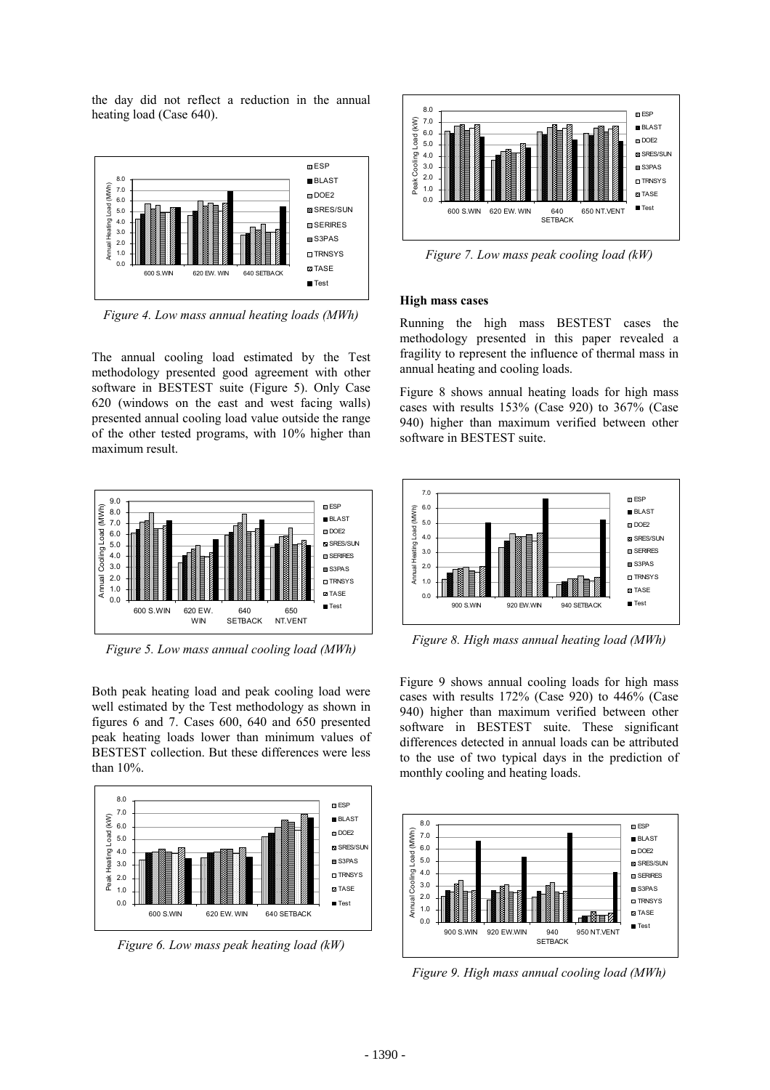the day did not reflect a reduction in the annual heating load (Case 640).



*Figure 4. Low mass annual heating loads (MWh)* 

The annual cooling load estimated by the Test methodology presented good agreement with other software in BESTEST suite (Figure 5). Only Case 620 (windows on the east and west facing walls) presented annual cooling load value outside the range of the other tested programs, with 10% higher than maximum result.



*Figure 5. Low mass annual cooling load (MWh)* 

Both peak heating load and peak cooling load were well estimated by the Test methodology as shown in figures 6 and 7. Cases 600, 640 and 650 presented peak heating loads lower than minimum values of BESTEST collection. But these differences were less than 10%.



*Figure 6. Low mass peak heating load (kW)* 



*Figure 7. Low mass peak cooling load (kW)* 

#### **High mass cases**

Running the high mass BESTEST cases the methodology presented in this paper revealed a fragility to represent the influence of thermal mass in annual heating and cooling loads.

Figure 8 shows annual heating loads for high mass cases with results 153% (Case 920) to 367% (Case 940) higher than maximum verified between other software in BESTEST suite.



*Figure 8. High mass annual heating load (MWh)* 

Figure 9 shows annual cooling loads for high mass cases with results 172% (Case 920) to 446% (Case 940) higher than maximum verified between other software in BESTEST suite. These significant differences detected in annual loads can be attributed to the use of two typical days in the prediction of monthly cooling and heating loads.



*Figure 9. High mass annual cooling load (MWh)*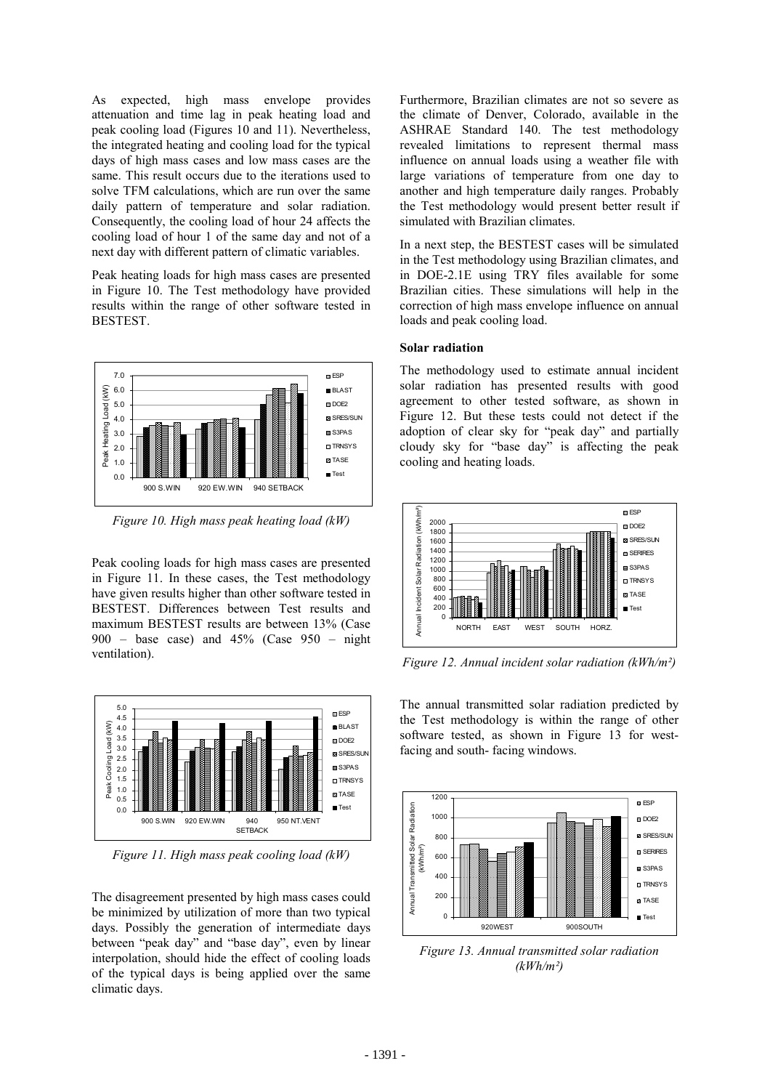As expected, high mass envelope provides attenuation and time lag in peak heating load and peak cooling load (Figures 10 and 11). Nevertheless, the integrated heating and cooling load for the typical days of high mass cases and low mass cases are the same. This result occurs due to the iterations used to solve TFM calculations, which are run over the same daily pattern of temperature and solar radiation. Consequently, the cooling load of hour 24 affects the cooling load of hour 1 of the same day and not of a next day with different pattern of climatic variables.

Peak heating loads for high mass cases are presented in Figure 10. The Test methodology have provided results within the range of other software tested in BESTEST.



*Figure 10. High mass peak heating load (kW)* 

Peak cooling loads for high mass cases are presented in Figure 11. In these cases, the Test methodology have given results higher than other software tested in BESTEST. Differences between Test results and maximum BESTEST results are between 13% (Case  $900 - base case$  and  $45\%$  (Case  $950 - night$ ventilation).



*Figure 11. High mass peak cooling load (kW)* 

The disagreement presented by high mass cases could be minimized by utilization of more than two typical days. Possibly the generation of intermediate days between "peak day" and "base day", even by linear interpolation, should hide the effect of cooling loads of the typical days is being applied over the same climatic days.

Furthermore, Brazilian climates are not so severe as the climate of Denver, Colorado, available in the ASHRAE Standard 140. The test methodology revealed limitations to represent thermal mass influence on annual loads using a weather file with large variations of temperature from one day to another and high temperature daily ranges. Probably the Test methodology would present better result if simulated with Brazilian climates.

In a next step, the BESTEST cases will be simulated in the Test methodology using Brazilian climates, and in DOE-2.1E using TRY files available for some Brazilian cities. These simulations will help in the correction of high mass envelope influence on annual loads and peak cooling load.

#### **Solar radiation**

The methodology used to estimate annual incident solar radiation has presented results with good agreement to other tested software, as shown in Figure 12. But these tests could not detect if the adoption of clear sky for "peak day" and partially cloudy sky for "base day" is affecting the peak cooling and heating loads.



*Figure 12. Annual incident solar radiation (kWh/m²)* 

The annual transmitted solar radiation predicted by the Test methodology is within the range of other software tested, as shown in Figure 13 for westfacing and south- facing windows.



*Figure 13. Annual transmitted solar radiation (kWh/m²)*